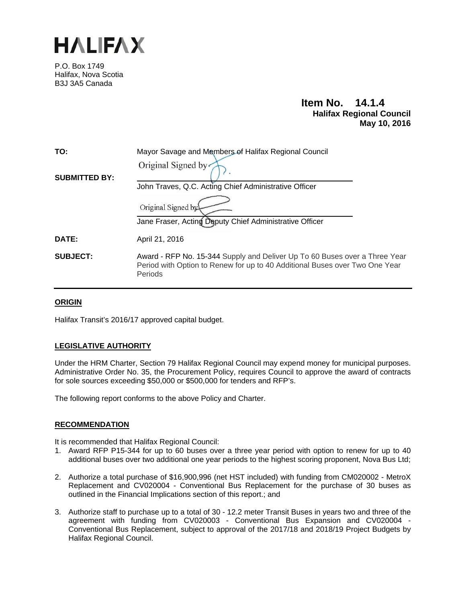

P.O. Box 1749 Halifax, Nova Scotia B3J 3A5 Canada

# **Item No. 14.1.4 Halifax Regional Council May 10, 2016**

| TO:                  | Mayor Savage and Members of Halifax Regional Council                                                                                                                 |  |  |
|----------------------|----------------------------------------------------------------------------------------------------------------------------------------------------------------------|--|--|
|                      | Original Signed by                                                                                                                                                   |  |  |
| <b>SUBMITTED BY:</b> | John Traves, Q.C. Acting Chief Administrative Officer                                                                                                                |  |  |
|                      | Original Signed by                                                                                                                                                   |  |  |
|                      | Jane Fraser, Acting Deputy Chief Administrative Officer                                                                                                              |  |  |
| <b>DATE:</b>         | April 21, 2016                                                                                                                                                       |  |  |
| <b>SUBJECT:</b>      | Award - RFP No. 15-344 Supply and Deliver Up To 60 Buses over a Three Year<br>Period with Option to Renew for up to 40 Additional Buses over Two One Year<br>Periods |  |  |
|                      |                                                                                                                                                                      |  |  |

## **ORIGIN**

Halifax Transit's 2016/17 approved capital budget.

## **LEGISLATIVE AUTHORITY**

Under the HRM Charter, Section 79 Halifax Regional Council may expend money for municipal purposes. Administrative Order No. 35, the Procurement Policy, requires Council to approve the award of contracts for sole sources exceeding \$50,000 or \$500,000 for tenders and RFP's.

The following report conforms to the above Policy and Charter.

#### **RECOMMENDATION**

It is recommended that Halifax Regional Council:

- 1. Award RFP P15-344 for up to 60 buses over a three year period with option to renew for up to 40 additional buses over two additional one year periods to the highest scoring proponent, Nova Bus Ltd;
- 2. Authorize a total purchase of \$16,900,996 (net HST included) with funding from CM020002 MetroX Replacement and CV020004 - Conventional Bus Replacement for the purchase of 30 buses as outlined in the Financial Implications section of this report.; and
- 3. Authorize staff to purchase up to a total of 30 12.2 meter Transit Buses in years two and three of the agreement with funding from CV020003 - Conventional Bus Expansion and CV020004 - Conventional Bus Replacement, subject to approval of the 2017/18 and 2018/19 Project Budgets by Halifax Regional Council.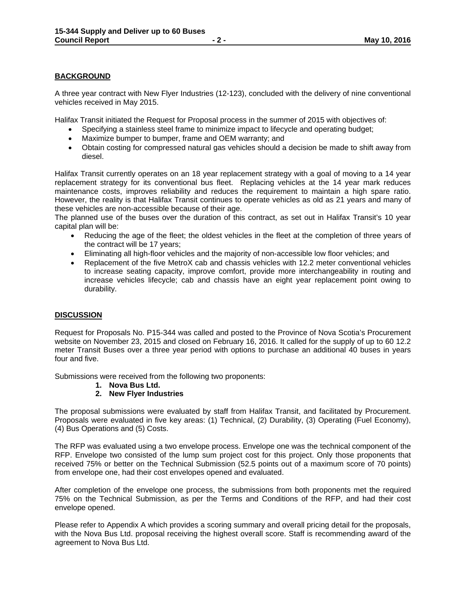## **BACKGROUND**

A three year contract with New Flyer Industries (12-123), concluded with the delivery of nine conventional vehicles received in May 2015.

Halifax Transit initiated the Request for Proposal process in the summer of 2015 with objectives of:

- Specifying a stainless steel frame to minimize impact to lifecycle and operating budget;
- Maximize bumper to bumper, frame and OEM warranty; and
- Obtain costing for compressed natural gas vehicles should a decision be made to shift away from diesel.

Halifax Transit currently operates on an 18 year replacement strategy with a goal of moving to a 14 year replacement strategy for its conventional bus fleet. Replacing vehicles at the 14 year mark reduces maintenance costs, improves reliability and reduces the requirement to maintain a high spare ratio. However, the reality is that Halifax Transit continues to operate vehicles as old as 21 years and many of these vehicles are non-accessible because of their age.

The planned use of the buses over the duration of this contract, as set out in Halifax Transit's 10 year capital plan will be:

- Reducing the age of the fleet; the oldest vehicles in the fleet at the completion of three years of the contract will be 17 years;
- Eliminating all high-floor vehicles and the majority of non-accessible low floor vehicles; and
- Replacement of the five MetroX cab and chassis vehicles with 12.2 meter conventional vehicles to increase seating capacity, improve comfort, provide more interchangeability in routing and increase vehicles lifecycle; cab and chassis have an eight year replacement point owing to durability.

#### **DISCUSSION**

Request for Proposals No. P15-344 was called and posted to the Province of Nova Scotia's Procurement website on November 23, 2015 and closed on February 16, 2016. It called for the supply of up to 60 12.2 meter Transit Buses over a three year period with options to purchase an additional 40 buses in years four and five.

Submissions were received from the following two proponents:

- **1. Nova Bus Ltd.**
- **2. New Flyer Industries**

The proposal submissions were evaluated by staff from Halifax Transit, and facilitated by Procurement. Proposals were evaluated in five key areas: (1) Technical, (2) Durability, (3) Operating (Fuel Economy), (4) Bus Operations and (5) Costs.

The RFP was evaluated using a two envelope process. Envelope one was the technical component of the RFP. Envelope two consisted of the lump sum project cost for this project. Only those proponents that received 75% or better on the Technical Submission (52.5 points out of a maximum score of 70 points) from envelope one, had their cost envelopes opened and evaluated.

After completion of the envelope one process, the submissions from both proponents met the required 75% on the Technical Submission, as per the Terms and Conditions of the RFP, and had their cost envelope opened.

Please refer to Appendix A which provides a scoring summary and overall pricing detail for the proposals, with the Nova Bus Ltd. proposal receiving the highest overall score. Staff is recommending award of the agreement to Nova Bus Ltd.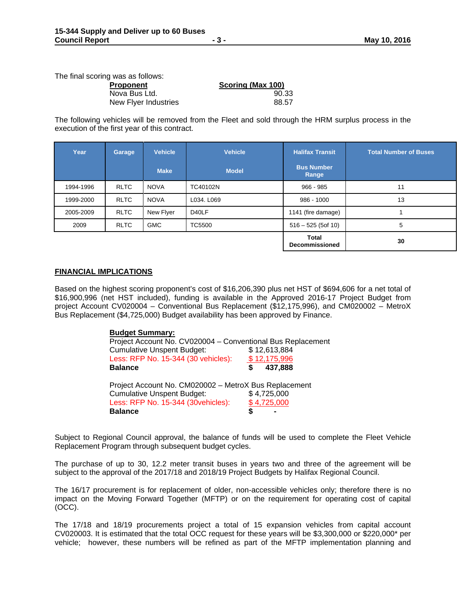The final scoring was as follows:

| Proponent            | Scoring (Max 100) |
|----------------------|-------------------|
| Nova Bus Ltd.        | 90.33             |
| New Flyer Industries | 88.57             |

The following vehicles will be removed from the Fleet and sold through the HRM surplus process in the execution of the first year of this contract.

| Year      | Garage      | <b>Vehicle</b> | <b>Vehicle</b> | <b>Halifax Transit</b>                | <b>Total Number of Buses</b> |
|-----------|-------------|----------------|----------------|---------------------------------------|------------------------------|
|           |             | <b>Make</b>    | <b>Model</b>   | <b>Bus Number</b><br>Range            |                              |
| 1994-1996 | <b>RLTC</b> | <b>NOVA</b>    | TC40102N       | $966 - 985$                           | 11                           |
| 1999-2000 | <b>RLTC</b> | <b>NOVA</b>    | L034, L069     | $986 - 1000$                          | 13                           |
| 2005-2009 | <b>RLTC</b> | New Flyer      | D40LF          | 1141 (fire damage)                    |                              |
| 2009      | <b>RLTC</b> | <b>GMC</b>     | <b>TC5500</b>  | $516 - 525$ (5of 10)                  | 5                            |
|           |             |                |                | <b>Total</b><br><b>Decommissioned</b> | 30                           |

#### **FINANCIAL IMPLICATIONS**

Based on the highest scoring proponent's cost of \$16,206,390 plus net HST of \$694,606 for a net total of \$16,900,996 (net HST included), funding is available in the Approved 2016-17 Project Budget from project Account CV020004 – Conventional Bus Replacement (\$12,175,996), and CM020002 – MetroX Bus Replacement (\$4,725,000) Budget availability has been approved by Finance.

| <b>Budget Summary:</b><br>Project Account No. CV020004 - Conventional Bus Replacement |              |
|---------------------------------------------------------------------------------------|--------------|
| <b>Cumulative Unspent Budget:</b>                                                     | \$12,613,884 |
| Less: RFP No. 15-344 (30 vehicles):                                                   | \$12,175,996 |
| <b>Balance</b>                                                                        | 437,888<br>S |
| Project Account No. CM020002 - MetroX Bus Replacement                                 |              |
| <b>Cumulative Unspent Budget:</b>                                                     | \$4,725,000  |
| Less: RFP No. 15-344 (30vehicles):                                                    | \$4,725,000  |
| <b>Balance</b>                                                                        |              |

Subject to Regional Council approval, the balance of funds will be used to complete the Fleet Vehicle Replacement Program through subsequent budget cycles.

The purchase of up to 30, 12.2 meter transit buses in years two and three of the agreement will be subject to the approval of the 2017/18 and 2018/19 Project Budgets by Halifax Regional Council.

The 16/17 procurement is for replacement of older, non-accessible vehicles only; therefore there is no impact on the Moving Forward Together (MFTP) or on the requirement for operating cost of capital (OCC).

The 17/18 and 18/19 procurements project a total of 15 expansion vehicles from capital account CV020003. It is estimated that the total OCC request for these years will be \$3,300,000 or \$220,000\* per vehicle; however, these numbers will be refined as part of the MFTP implementation planning and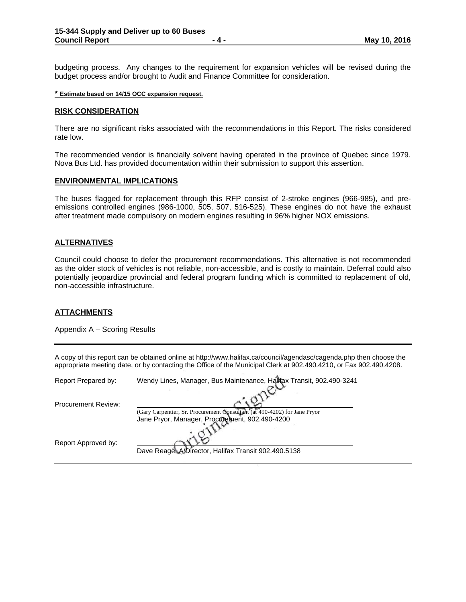budgeting process. Any changes to the requirement for expansion vehicles will be revised during the budget process and/or brought to Audit and Finance Committee for consideration.

#### **\* Estimate based on 14/15 OCC expansion request.**

#### **RISK CONSIDERATION**

There are no significant risks associated with the recommendations in this Report. The risks considered rate low.

The recommended vendor is financially solvent having operated in the province of Quebec since 1979. Nova Bus Ltd. has provided documentation within their submission to support this assertion.

#### **ENVIRONMENTAL IMPLICATIONS**

The buses flagged for replacement through this RFP consist of 2-stroke engines (966-985), and preemissions controlled engines (986-1000, 505, 507, 516-525). These engines do not have the exhaust after treatment made compulsory on modern engines resulting in 96% higher NOX emissions.

#### **ALTERNATIVES**

Council could choose to defer the procurement recommendations. This alternative is not recommended as the older stock of vehicles is not reliable, non-accessible, and is costly to maintain. Deferral could also potentially jeopardize provincial and federal program funding which is committed to replacement of old, non-accessible infrastructure.

#### **ATTACHMENTS**

Appendix A – Scoring Results

A copy of this report can be obtained online at http://www.halifax.ca/council/agendasc/cagenda.php then choose the appropriate meeting date, or by contacting the Office of the Municipal Clerk at 902.490.4210, or Fax 902.490.4208.

| Report Prepared by:        | Wendy Lines, Manager, Bus Maintenance, Hallfax Transit, 902.490-3241      |  |  |
|----------------------------|---------------------------------------------------------------------------|--|--|
|                            |                                                                           |  |  |
| <b>Procurement Review:</b> |                                                                           |  |  |
|                            | (Gary Carpentier, Sr. Procurement Consultant (at 490-4202) for Jane Pryor |  |  |
|                            | Jane Pryor, Manager, Procurement, 902.490-4200                            |  |  |
|                            |                                                                           |  |  |
| Report Approved by:        |                                                                           |  |  |
|                            | Dave Reage, A/Director, Halifax Transit 902.490.5138                      |  |  |